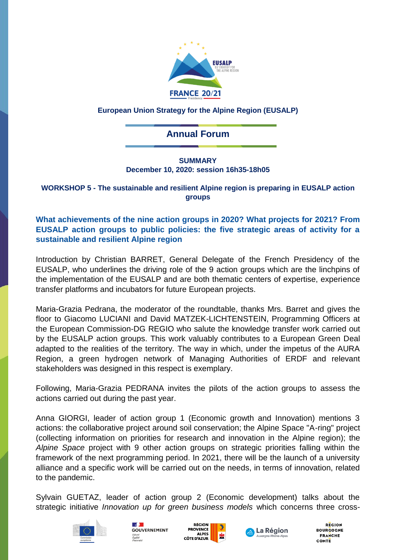

## **European Union Strategy for the Alpine Region (EUSALP)**

# **Annual Forum**

#### **SUMMARY December 10, 2020: session 16h35-18h05**

### **WORKSHOP 5 - The sustainable and resilient Alpine region is preparing in EUSALP action groups**

## **What achievements of the nine action groups in 2020? What projects for 2021? From EUSALP action groups to public policies: the five strategic areas of activity for a sustainable and resilient Alpine region**

Introduction by Christian BARRET, General Delegate of the French Presidency of the EUSALP, who underlines the driving role of the 9 action groups which are the linchpins of the implementation of the EUSALP and are both thematic centers of expertise, experience transfer platforms and incubators for future European projects.

Maria-Grazia Pedrana, the moderator of the roundtable, thanks Mrs. Barret and gives the floor to Giacomo LUCIANI and David MATZEK-LICHTENSTEIN, Programming Officers at the European Commission-DG REGIO who salute the knowledge transfer work carried out by the EUSALP action groups. This work valuably contributes to a European Green Deal adapted to the realities of the territory. The way in which, under the impetus of the AURA Region, a green hydrogen network of Managing Authorities of ERDF and relevant stakeholders was designed in this respect is exemplary.

Following, Maria-Grazia PEDRANA invites the pilots of the action groups to assess the actions carried out during the past year.

Anna GIORGI, leader of action group 1 (Economic growth and Innovation) mentions 3 actions: the collaborative project around soil conservation; the Alpine Space "A-ring" project (collecting information on priorities for research and innovation in the Alpine region); the *Alpine Space* project with 9 other action groups on strategic priorities falling within the framework of the next programming period. In 2021, there will be the launch of a university alliance and a specific work will be carried out on the needs, in terms of innovation, related to the pandemic.

Sylvain GUETAZ, leader of action group 2 (Economic development) talks about the strategic initiative *Innovation up for green business models* which concerns three cross-









**REGION BOURGOGNE FRANCHE** COMTE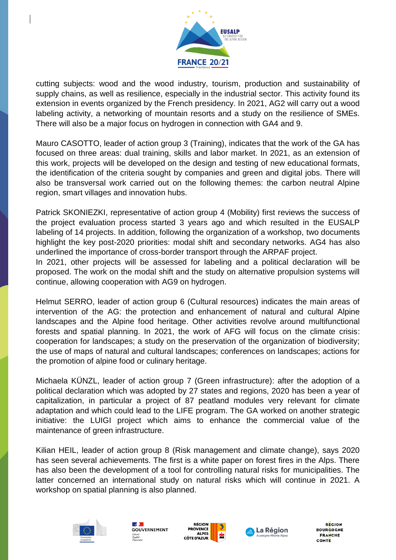

cutting subjects: wood and the wood industry, tourism, production and sustainability of supply chains, as well as resilience, especially in the industrial sector. This activity found its extension in events organized by the French presidency. In 2021, AG2 will carry out a wood labeling activity, a networking of mountain resorts and a study on the resilience of SMEs. There will also be a major focus on hydrogen in connection with GA4 and 9.

Mauro CASOTTO, leader of action group 3 (Training), indicates that the work of the GA has focused on three areas: dual training, skills and labor market. In 2021, as an extension of this work, projects will be developed on the design and testing of new educational formats, the identification of the criteria sought by companies and green and digital jobs. There will also be transversal work carried out on the following themes: the carbon neutral Alpine region, smart villages and innovation hubs.

Patrick SKONIEZKI, representative of action group 4 (Mobility) first reviews the success of the project evaluation process started 3 years ago and which resulted in the EUSALP labeling of 14 projects. In addition, following the organization of a workshop, two documents highlight the key post-2020 priorities: modal shift and secondary networks. AG4 has also underlined the importance of cross-border transport through the ARPAF project.

In 2021, other projects will be assessed for labeling and a political declaration will be proposed. The work on the modal shift and the study on alternative propulsion systems will continue, allowing cooperation with AG9 on hydrogen.

Helmut SERRO, leader of action group 6 (Cultural resources) indicates the main areas of intervention of the AG: the protection and enhancement of natural and cultural Alpine landscapes and the Alpine food heritage. Other activities revolve around multifunctional forests and spatial planning. In 2021, the work of AFG will focus on the climate crisis: cooperation for landscapes; a study on the preservation of the organization of biodiversity; the use of maps of natural and cultural landscapes; conferences on landscapes; actions for the promotion of alpine food or culinary heritage.

Michaela KÜNZL, leader of action group 7 (Green infrastructure): after the adoption of a political declaration which was adopted by 27 states and regions, 2020 has been a year of capitalization, in particular a project of 87 peatland modules very relevant for climate adaptation and which could lead to the LIFE program. The GA worked on another strategic initiative: the LUIGI project which aims to enhance the commercial value of the maintenance of green infrastructure.

Kilian HEIL, leader of action group 8 (Risk management and climate change), says 2020 has seen several achievements. The first is a white paper on forest fires in the Alps. There has also been the development of a tool for controlling natural risks for municipalities. The latter concerned an international study on natural risks which will continue in 2021. A workshop on spatial planning is also planned.









**REGION BOURCOGNE FRANCHE** COMTE